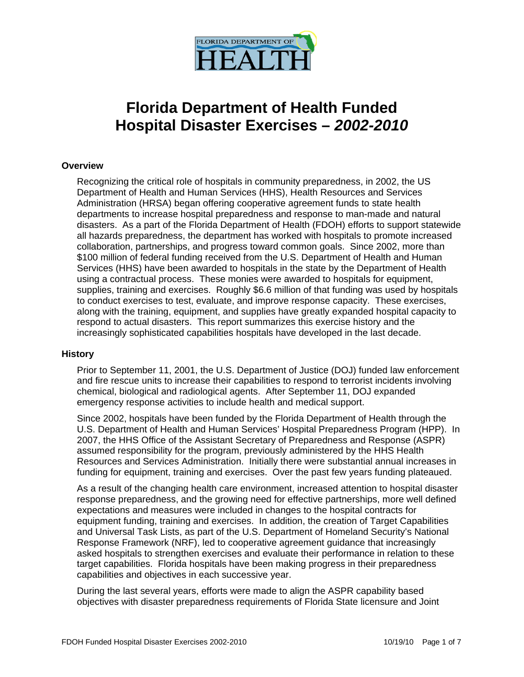

# **Florida Department of Health Funded Hospital Disaster Exercises –** *2002-2010*

# **Overview**

Recognizing the critical role of hospitals in community preparedness, in 2002, the US Department of Health and Human Services (HHS), Health Resources and Services Administration (HRSA) began offering cooperative agreement funds to state health departments to increase hospital preparedness and response to man-made and natural disasters. As a part of the Florida Department of Health (FDOH) efforts to support statewide all hazards preparedness, the department has worked with hospitals to promote increased collaboration, partnerships, and progress toward common goals. Since 2002, more than \$100 million of federal funding received from the U.S. Department of Health and Human Services (HHS) have been awarded to hospitals in the state by the Department of Health using a contractual process. These monies were awarded to hospitals for equipment, supplies, training and exercises. Roughly \$6.6 million of that funding was used by hospitals to conduct exercises to test, evaluate, and improve response capacity. These exercises, along with the training, equipment, and supplies have greatly expanded hospital capacity to respond to actual disasters. This report summarizes this exercise history and the increasingly sophisticated capabilities hospitals have developed in the last decade.

### **History**

Prior to September 11, 2001, the U.S. Department of Justice (DOJ) funded law enforcement and fire rescue units to increase their capabilities to respond to terrorist incidents involving chemical, biological and radiological agents. After September 11, DOJ expanded emergency response activities to include health and medical support.

Since 2002, hospitals have been funded by the Florida Department of Health through the U.S. Department of Health and Human Services' Hospital Preparedness Program (HPP). In 2007, the HHS Office of the Assistant Secretary of Preparedness and Response (ASPR) assumed responsibility for the program, previously administered by the HHS Health Resources and Services Administration. Initially there were substantial annual increases in funding for equipment, training and exercises. Over the past few years funding plateaued.

As a result of the changing health care environment, increased attention to hospital disaster response preparedness, and the growing need for effective partnerships, more well defined expectations and measures were included in changes to the hospital contracts for equipment funding, training and exercises. In addition, the creation of Target Capabilities and Universal Task Lists, as part of the U.S. Department of Homeland Security's National Response Framework (NRF), led to cooperative agreement guidance that increasingly asked hospitals to strengthen exercises and evaluate their performance in relation to these target capabilities. Florida hospitals have been making progress in their preparedness capabilities and objectives in each successive year.

During the last several years, efforts were made to align the ASPR capability based objectives with disaster preparedness requirements of Florida State licensure and Joint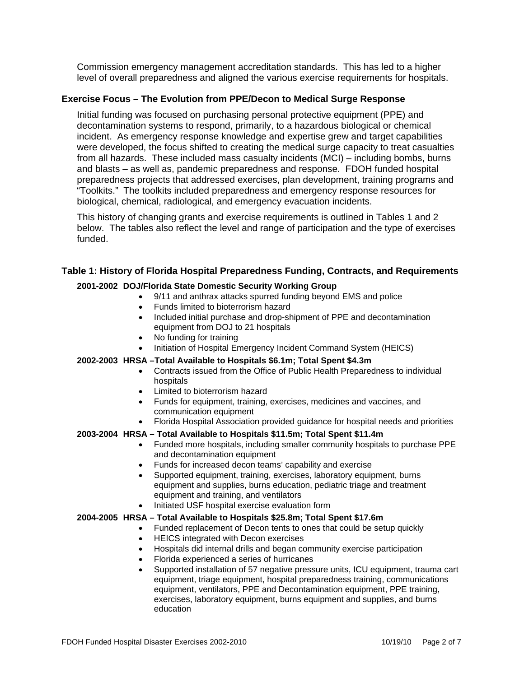Commission emergency management accreditation standards. This has led to a higher level of overall preparedness and aligned the various exercise requirements for hospitals.

# **Exercise Focus – The Evolution from PPE/Decon to Medical Surge Response**

Initial funding was focused on purchasing personal protective equipment (PPE) and decontamination systems to respond, primarily, to a hazardous biological or chemical incident. As emergency response knowledge and expertise grew and target capabilities were developed, the focus shifted to creating the medical surge capacity to treat casualties from all hazards. These included mass casualty incidents (MCI) – including bombs, burns and blasts – as well as, pandemic preparedness and response. FDOH funded hospital preparedness projects that addressed exercises, plan development, training programs and "Toolkits." The toolkits included preparedness and emergency response resources for biological, chemical, radiological, and emergency evacuation incidents.

This history of changing grants and exercise requirements is outlined in Tables 1 and 2 below. The tables also reflect the level and range of participation and the type of exercises funded.

### **Table 1: History of Florida Hospital Preparedness Funding, Contracts, and Requirements**

### **2001-2002 DOJ/Florida State Domestic Security Working Group**

- 9/11 and anthrax attacks spurred funding beyond EMS and police
- Funds limited to bioterrorism hazard
- Included initial purchase and drop-shipment of PPE and decontamination equipment from DOJ to 21 hospitals
- No funding for training
- Initiation of Hospital Emergency Incident Command System (HEICS)

### **2002-2003 HRSA –Total Available to Hospitals \$6.1m; Total Spent \$4.3m**

- Contracts issued from the Office of Public Health Preparedness to individual hospitals
- Limited to bioterrorism hazard
- Funds for equipment, training, exercises, medicines and vaccines, and communication equipment
- Florida Hospital Association provided guidance for hospital needs and priorities

### **2003-2004 HRSA – Total Available to Hospitals \$11.5m; Total Spent \$11.4m**

- Funded more hospitals, including smaller community hospitals to purchase PPE and decontamination equipment
- Funds for increased decon teams' capability and exercise
- Supported equipment, training, exercises, laboratory equipment, burns equipment and supplies, burns education, pediatric triage and treatment equipment and training, and ventilators
- Initiated USF hospital exercise evaluation form

### **2004-2005 HRSA – Total Available to Hospitals \$25.8m; Total Spent \$17.6m**

- Funded replacement of Decon tents to ones that could be setup quickly
- HEICS integrated with Decon exercises
- Hospitals did internal drills and began community exercise participation
- Florida experienced a series of hurricanes
- Supported installation of 57 negative pressure units, ICU equipment, trauma cart equipment, triage equipment, hospital preparedness training, communications equipment, ventilators, PPE and Decontamination equipment, PPE training, exercises, laboratory equipment, burns equipment and supplies, and burns education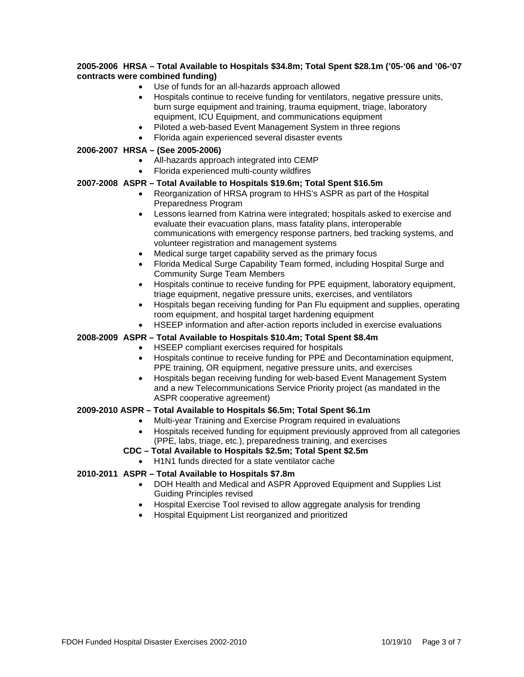### **2005-2006 HRSA – Total Available to Hospitals \$34.8m; Total Spent \$28.1m ('05-'06 and '06-'07 contracts were combined funding)**

- Use of funds for an all-hazards approach allowed
- Hospitals continue to receive funding for ventilators, negative pressure units, burn surge equipment and training, trauma equipment, triage, laboratory equipment, ICU Equipment, and communications equipment
- Piloted a web-based Event Management System in three regions
- Florida again experienced several disaster events

### **2006-2007 HRSA – (See 2005-2006)**

- All-hazards approach integrated into CEMP
- Florida experienced multi-county wildfires

### **2007-2008 ASPR – Total Available to Hospitals \$19.6m; Total Spent \$16.5m**

- Reorganization of HRSA program to HHS's ASPR as part of the Hospital Preparedness Program
- Lessons learned from Katrina were integrated; hospitals asked to exercise and evaluate their evacuation plans, mass fatality plans, interoperable communications with emergency response partners, bed tracking systems, and volunteer registration and management systems
- Medical surge target capability served as the primary focus
- Florida Medical Surge Capability Team formed, including Hospital Surge and Community Surge Team Members
- Hospitals continue to receive funding for PPE equipment, laboratory equipment, triage equipment, negative pressure units, exercises, and ventilators
- Hospitals began receiving funding for Pan Flu equipment and supplies, operating room equipment, and hospital target hardening equipment
- HSEEP information and after-action reports included in exercise evaluations

### **2008-2009 ASPR – Total Available to Hospitals \$10.4m; Total Spent \$8.4m**

- HSEEP compliant exercises required for hospitals
	- Hospitals continue to receive funding for PPE and Decontamination equipment, PPE training, OR equipment, negative pressure units, and exercises
	- Hospitals began receiving funding for web-based Event Management System and a new Telecommunications Service Priority project (as mandated in the ASPR cooperative agreement)

### **2009-2010 ASPR – Total Available to Hospitals \$6.5m; Total Spent \$6.1m**

- Multi-year Training and Exercise Program required in evaluations
- Hospitals received funding for equipment previously approved from all categories (PPE, labs, triage, etc.), preparedness training, and exercises

# **CDC – Total Available to Hospitals \$2.5m; Total Spent \$2.5m**

• H1N1 funds directed for a state ventilator cache

### **2010-2011 ASPR – Total Available to Hospitals \$7.8m**

- DOH Health and Medical and ASPR Approved Equipment and Supplies List Guiding Principles revised
- Hospital Exercise Tool revised to allow aggregate analysis for trending
- Hospital Equipment List reorganized and prioritized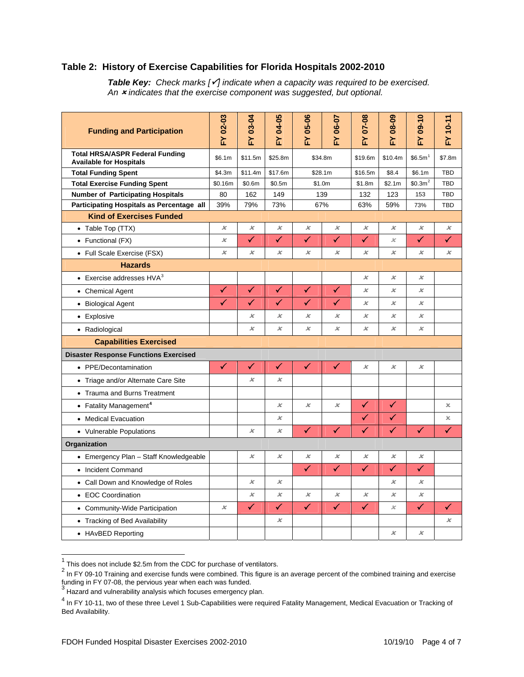# **Table 2: History of Exercise Capabilities for Florida Hospitals 2002-2010**

**Table Key:** Check marks [√] indicate when a capacity was required to be exercised. *An* 2 *indicates that the exercise component was suggested, but optional.*

| <b>Funding and Participation</b>                                         | FY 02-03                 | FY 03-04                   | FY 04-05                 | $05-06$<br>ř               | -Y 06-07                   | <b>FY 07-08</b>            | $60 - 80$<br>ř | FY 09-10                  | FY 10-11              |
|--------------------------------------------------------------------------|--------------------------|----------------------------|--------------------------|----------------------------|----------------------------|----------------------------|----------------|---------------------------|-----------------------|
| <b>Total HRSA/ASPR Federal Funding</b><br><b>Available for Hospitals</b> | \$6.1m                   | \$11.5m                    | \$25.8m                  | \$34.8m                    |                            | \$19.6m                    | \$10.4m        | \$6.5m <sup>1</sup>       | \$7.8m                |
| <b>Total Funding Spent</b>                                               | \$4.3m                   | \$11.4m                    | \$17.6m                  | \$28.1m                    |                            | \$16.5m                    | \$8.4          | \$6.1m                    | <b>TBD</b>            |
| <b>Total Exercise Funding Spent</b>                                      | \$0.16m                  | \$0.6m                     | \$0.5m                   | \$1.0m                     |                            | \$1.8m                     | \$2.1m         | \$0.3m <sup>2</sup>       | <b>TBD</b>            |
| <b>Number of Participating Hospitals</b>                                 | 80                       | 162                        | 149                      | 139                        |                            | 132                        | 123            | 153                       | <b>TBD</b>            |
| Participating Hospitals as Percentage all                                | 39%                      | 79%                        | 73%                      | 67%                        |                            | 63%                        | 59%            | 73%                       | <b>TBD</b>            |
| <b>Kind of Exercises Funded</b>                                          |                          |                            |                          |                            |                            |                            |                |                           |                       |
| • Table Top (TTX)                                                        | $\pmb{\times}$           | $\pmb{\times}$             | x                        | $\boldsymbol{\mathcal{K}}$ | $\pmb{\mathcal{K}}$        | $\pmb{\times}$             | x              | $\pmb{\times}$            | $\pmb{\mathcal{K}}$   |
| • Functional (FX)                                                        | $\boldsymbol{\varkappa}$ | ✓                          | ✓                        | ✓                          | ✓                          | ✓                          | x              | ✓                         | ✓                     |
| • Full Scale Exercise (FSX)                                              | x                        | х                          | х                        | х                          | х                          | x                          | х              | x                         | x                     |
| <b>Hazards</b>                                                           |                          |                            |                          |                            |                            |                            |                |                           |                       |
| • Exercise addresses $HVA3$                                              |                          |                            |                          |                            |                            | х                          | x              | x                         |                       |
| • Chemical Agent                                                         | ✓                        | $\checkmark$               | ✓                        | $\checkmark$               | ✓                          | ×                          | x              | x                         |                       |
| • Biological Agent                                                       | ✓                        | ✓                          | ✓                        | ✓                          | ✓                          | x                          | x              | x                         |                       |
| • Explosive                                                              |                          | х                          | x                        | х                          | х                          | $\boldsymbol{\mathcal{K}}$ | x              | $\boldsymbol{\varkappa}$  |                       |
| • Radiological                                                           |                          | x                          | x                        | $\boldsymbol{\mathcal{K}}$ | $\boldsymbol{\mathcal{K}}$ | $\boldsymbol{\varkappa}$   | x              | x                         |                       |
| <b>Capabilities Exercised</b>                                            |                          |                            |                          |                            |                            |                            |                |                           |                       |
| <b>Disaster Response Functions Exercised</b>                             |                          |                            |                          |                            |                            |                            |                |                           |                       |
| • PPE/Decontamination                                                    | $\checkmark$             | ✓                          | $\checkmark$             | $\checkmark$               | ✓                          | $\pmb{\times}$             | x              | $\boldsymbol{\varkappa}$  |                       |
| • Triage and/or Alternate Care Site                                      |                          | x                          | $\boldsymbol{\varkappa}$ |                            |                            |                            |                |                           |                       |
| • Trauma and Burns Treatment                                             |                          |                            |                          |                            |                            |                            |                |                           |                       |
| • Fatality Management <sup>4</sup>                                       |                          |                            | x                        | x                          | $\overline{\mathbf{x}}$    | ✓                          | ✓              |                           | $\boldsymbol{\times}$ |
| • Medical Evacuation                                                     |                          |                            | x                        |                            |                            | $\checkmark$               | ✓              |                           | x                     |
| • Vulnerable Populations                                                 |                          | x                          | x                        | $\checkmark$               | ✓                          | $\checkmark$               | $\checkmark$   | ✓                         | ✓                     |
| Organization                                                             |                          |                            |                          |                            |                            |                            |                |                           |                       |
| • Emergency Plan - Staff Knowledgeable                                   |                          | х                          | x                        | х                          | х                          | x                          | х              | x                         |                       |
| • Incident Command                                                       |                          |                            |                          | ✓                          | ✓                          | $\checkmark$               | $\checkmark$   | $\checkmark$              |                       |
| • Call Down and Knowledge of Roles                                       |                          | $\boldsymbol{\mathcal{K}}$ | $\boldsymbol{\varkappa}$ |                            |                            |                            | x              | $\pmb{\times}$            |                       |
| • EOC Coordination                                                       |                          | ×                          | x                        | $\pmb{\times}$             | ×                          | $\pmb{\times}$             | x              | x                         |                       |
| • Community-Wide Participation                                           | $\boldsymbol{\varkappa}$ | $\checkmark$               | ✓                        | $\checkmark$               | ✓                          | ✓                          | x              | $\checkmark$              | ✓                     |
| • Tracking of Bed Availability                                           |                          |                            | x                        |                            |                            |                            |                |                           | $\pmb{\times}$        |
| • HAvBED Reporting                                                       |                          |                            |                          |                            |                            |                            | x              | $\boldsymbol{\mathsf{x}}$ |                       |

<span id="page-3-1"></span><span id="page-3-0"></span>

<sup>1&</sup>lt;br><sup>1</sup> This does not include \$2.5m from the CDC for purchase of ventilators.<br><sup>2</sup> In FY 09-10 Training and exercise funds were combined. This figure is an average percent of the combined training and exercise

funding in FY 07-08, the pervious year when each was funded.<br><sup>3</sup> Hazard and vulnerability analysis which focuses emergency plan.

<span id="page-3-3"></span><span id="page-3-2"></span><sup>&</sup>lt;sup>4</sup> In FY 10-11, two of these three Level 1 Sub-Capabilities were required Fatality Management, Medical Evacuation or Tracking of Bed Availability.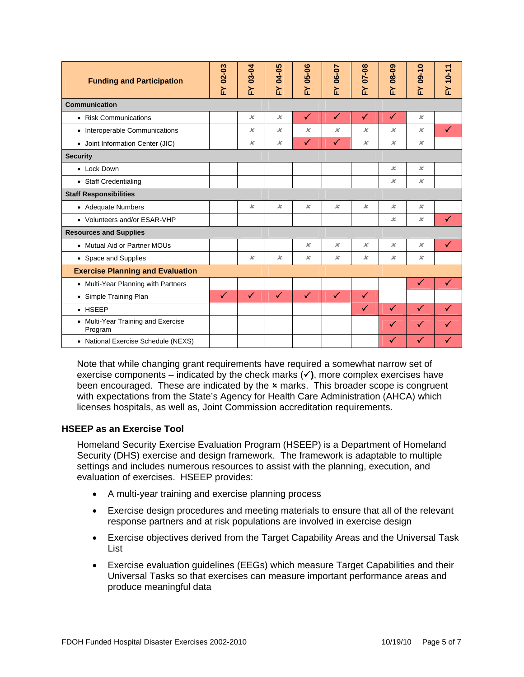| <b>Funding and Participation</b>              | FY 02-03     | FY 03-04                 | FY 04-05                 | 05-06<br>논                 | FY 06-07       | FY 07-08       | <b>FY 08-09</b>     | $09 - 10$<br>논            | $-10 - 11$   |  |
|-----------------------------------------------|--------------|--------------------------|--------------------------|----------------------------|----------------|----------------|---------------------|---------------------------|--------------|--|
| <b>Communication</b>                          |              |                          |                          |                            |                |                |                     |                           |              |  |
| • Risk Communications                         |              | $\pmb{\times}$           | $\chi$                   | $\checkmark$               | $\checkmark$   | $\checkmark$   | ✓                   | $\chi$                    |              |  |
| • Interoperable Communications                |              | x                        | $\boldsymbol{\varkappa}$ | $\pmb{\times}$             | х              | x              | х                   | $\boldsymbol{\varkappa}$  | ✓            |  |
| • Joint Information Center (JIC)              |              | $\boldsymbol{\varkappa}$ | $\boldsymbol{\varkappa}$ | ✓                          | ✓              | $\pmb{\times}$ | $\pmb{\mathcal{K}}$ | $\boldsymbol{\varkappa}$  |              |  |
| <b>Security</b>                               |              |                          |                          |                            |                |                |                     |                           |              |  |
| • Lock Down                                   |              |                          |                          |                            |                |                | $\pmb{\times}$      | $\pmb{\times}$            |              |  |
| • Staff Credentialing                         |              |                          |                          |                            |                |                | $\pmb{\mathcal{K}}$ | $\boldsymbol{\varkappa}$  |              |  |
| <b>Staff Responsibilities</b>                 |              |                          |                          |                            |                |                |                     |                           |              |  |
| • Adequate Numbers                            |              | $\chi$                   | $\pmb{\times}$           | $\boldsymbol{\mathcal{K}}$ | $\pmb{\times}$ | $\pmb{\times}$ | $\chi$              | $\boldsymbol{\mathsf{x}}$ |              |  |
| • Volunteers and/or ESAR-VHP                  |              |                          |                          |                            |                |                | $\pmb{\times}$      | $\boldsymbol{\mathsf{x}}$ |              |  |
| <b>Resources and Supplies</b>                 |              |                          |                          |                            |                |                |                     |                           |              |  |
| • Mutual Aid or Partner MOUs                  |              |                          |                          | $\pmb{\times}$             | $\pmb{\times}$ | $\pmb{\times}$ | $\pmb{\times}$      | $\pmb{\times}$            | ✓            |  |
| • Space and Supplies                          |              | $\boldsymbol{\varkappa}$ | $\pmb{\times}$           | $\pmb{\times}$             | $\pmb{\times}$ | $\pmb{\times}$ | $\pmb{\times}$      | $\boldsymbol{\mathsf{x}}$ |              |  |
| <b>Exercise Planning and Evaluation</b>       |              |                          |                          |                            |                |                |                     |                           |              |  |
| • Multi-Year Planning with Partners           |              |                          |                          |                            |                |                |                     | $\checkmark$              | $\checkmark$ |  |
| • Simple Training Plan                        | $\checkmark$ | $\checkmark$             | $\checkmark$             | $\checkmark$               | $\checkmark$   | $\checkmark$   |                     |                           |              |  |
| $\bullet$ HSEEP                               |              |                          |                          |                            |                | $\checkmark$   | ✓                   | $\checkmark$              |              |  |
| • Multi-Year Training and Exercise<br>Program |              |                          |                          |                            |                |                | ✓                   | $\blacktriangledown$      |              |  |
| • National Exercise Schedule (NEXS)           |              |                          |                          |                            |                |                | ✓                   | Ø                         |              |  |

Note that while changing grant requirements have required a somewhat narrow set of exercise components – indicated by the check marks  $(\checkmark)$ , more complex exercises have been encouraged. These are indicated by the  $x$  marks. This broader scope is congruent with expectations from the State's Agency for Health Care Administration (AHCA) which licenses hospitals, as well as, Joint Commission accreditation requirements.

# **HSEEP as an Exercise Tool**

Homeland Security Exercise Evaluation Program (HSEEP) is a Department of Homeland Security (DHS) exercise and design framework. The framework is adaptable to multiple settings and includes numerous resources to assist with the planning, execution, and evaluation of exercises. HSEEP provides:

- A multi-year training and exercise planning process
- Exercise design procedures and meeting materials to ensure that all of the relevant response partners and at risk populations are involved in exercise design
- Exercise objectives derived from the Target Capability Areas and the Universal Task List
- Exercise evaluation guidelines (EEGs) which measure Target Capabilities and their Universal Tasks so that exercises can measure important performance areas and produce meaningful data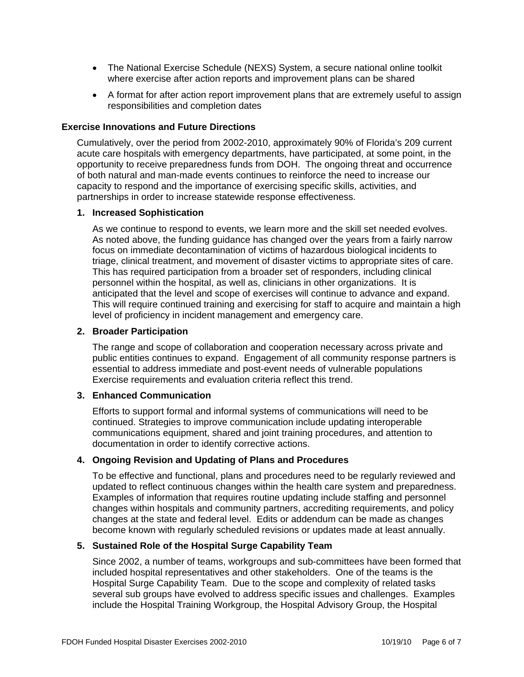- The National Exercise Schedule (NEXS) System, a secure national online toolkit where exercise after action reports and improvement plans can be shared
- A format for after action report improvement plans that are extremely useful to assign responsibilities and completion dates

### **Exercise Innovations and Future Directions**

Cumulatively, over the period from 2002-2010, approximately 90% of Florida's 209 current acute care hospitals with emergency departments, have participated, at some point, in the opportunity to receive preparedness funds from DOH. The ongoing threat and occurrence of both natural and man-made events continues to reinforce the need to increase our capacity to respond and the importance of exercising specific skills, activities, and partnerships in order to increase statewide response effectiveness.

### **1. Increased Sophistication**

As we continue to respond to events, we learn more and the skill set needed evolves. As noted above, the funding guidance has changed over the years from a fairly narrow focus on immediate decontamination of victims of hazardous biological incidents to triage, clinical treatment, and movement of disaster victims to appropriate sites of care. This has required participation from a broader set of responders, including clinical personnel within the hospital, as well as, clinicians in other organizations. It is anticipated that the level and scope of exercises will continue to advance and expand. This will require continued training and exercising for staff to acquire and maintain a high level of proficiency in incident management and emergency care.

### **2. Broader Participation**

The range and scope of collaboration and cooperation necessary across private and public entities continues to expand. Engagement of all community response partners is essential to address immediate and post-event needs of vulnerable populations Exercise requirements and evaluation criteria reflect this trend.

### **3. Enhanced Communication**

Efforts to support formal and informal systems of communications will need to be continued. Strategies to improve communication include updating interoperable communications equipment, shared and joint training procedures, and attention to documentation in order to identify corrective actions.

### **4. Ongoing Revision and Updating of Plans and Procedures**

To be effective and functional, plans and procedures need to be regularly reviewed and updated to reflect continuous changes within the health care system and preparedness. Examples of information that requires routine updating include staffing and personnel changes within hospitals and community partners, accrediting requirements, and policy changes at the state and federal level. Edits or addendum can be made as changes become known with regularly scheduled revisions or updates made at least annually.

### **5. Sustained Role of the Hospital Surge Capability Team**

Since 2002, a number of teams, workgroups and sub-committees have been formed that included hospital representatives and other stakeholders. One of the teams is the Hospital Surge Capability Team. Due to the scope and complexity of related tasks several sub groups have evolved to address specific issues and challenges. Examples include the Hospital Training Workgroup, the Hospital Advisory Group, the Hospital